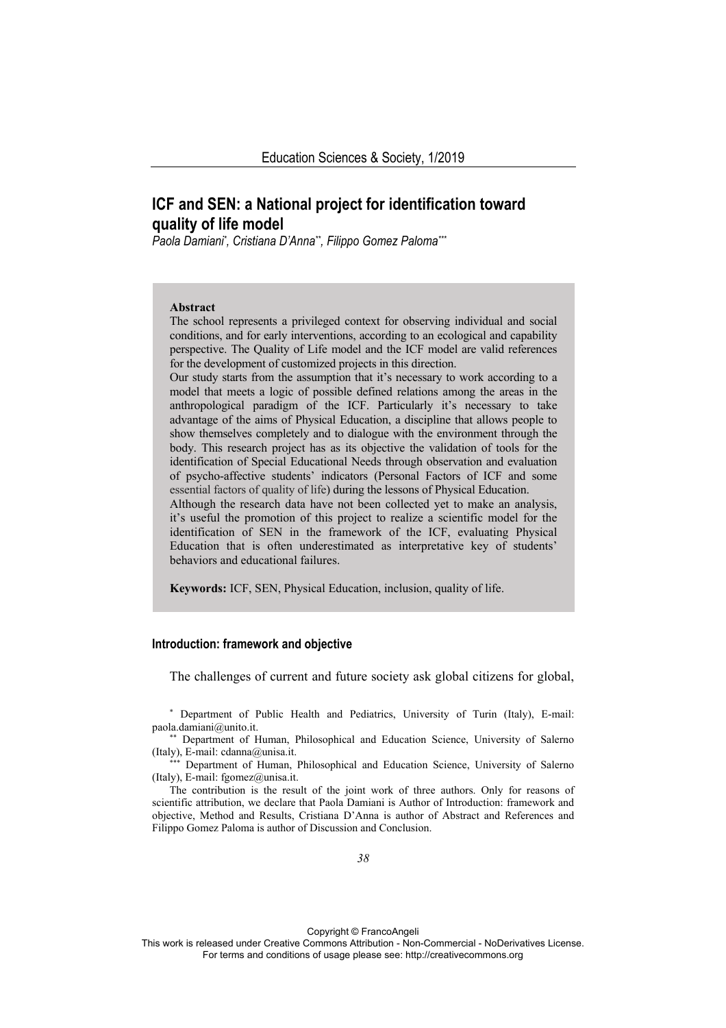# **ICF and SEN: a National project for identification toward quality of life model**

*Paola Damiani\* , Cristiana D'Anna\*\*, Filippo Gomez Paloma\*\*\**

#### **Abstract**

The school represents a privileged context for observing individual and social conditions, and for early interventions, according to an ecological and capability perspective. The Quality of Life model and the ICF model are valid references for the development of customized projects in this direction.

Our study starts from the assumption that it's necessary to work according to a model that meets a logic of possible defined relations among the areas in the anthropological paradigm of the ICF. Particularly it's necessary to take advantage of the aims of Physical Education, a discipline that allows people to show themselves completely and to dialogue with the environment through the body. This research project has as its objective the validation of tools for the identification of Special Educational Needs through observation and evaluation of psycho-affective students' indicators (Personal Factors of ICF and some essential factors of quality of life) during the lessons of Physical Education.

Although the research data have not been collected yet to make an analysis, it's useful the promotion of this project to realize a scientific model for the identification of SEN in the framework of the ICF, evaluating Physical Education that is often underestimated as interpretative key of students' behaviors and educational failures.

**Keywords:** ICF, SEN, Physical Education, inclusion, quality of life.

# **Introduction: framework and objective**

The challenges of current and future society ask global citizens for global,

\* Department of Public Health and Pediatrics, University of Turin (Italy), E-mail:

\* Department of Human, Philosophical and Education Science, University of Salerno (Italy), E-mail: cdanna@unisa.it. \*\*\* Department of Human, Philosophical and Education Science, University of Salerno

(Italy), E-mail: fgomez@unisa.it.

The contribution is the result of the joint work of three authors. Only for reasons of scientific attribution, we declare that Paola Damiani is Author of Introduction: framework and objective, Method and Results, Cristiana D'Anna is author of Abstract and References and Filippo Gomez Paloma is author of Discussion and Conclusion.

Copyright © FrancoAngeli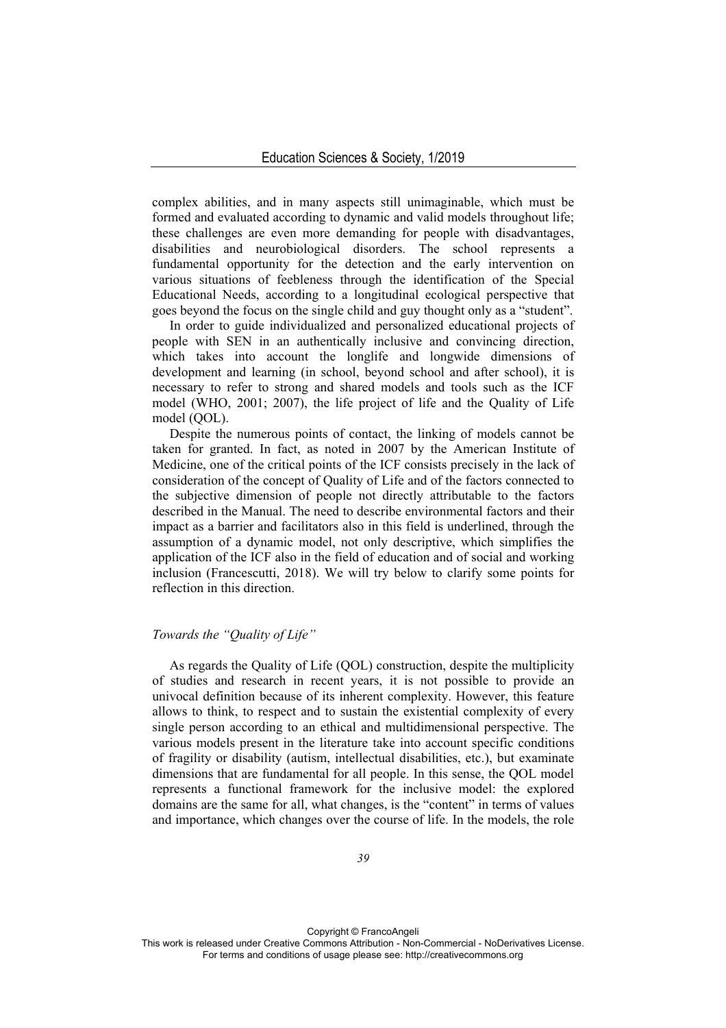complex abilities, and in many aspects still unimaginable, which must be formed and evaluated according to dynamic and valid models throughout life; these challenges are even more demanding for people with disadvantages, disabilities and neurobiological disorders. The school represents a fundamental opportunity for the detection and the early intervention on various situations of feebleness through the identification of the Special Educational Needs, according to a longitudinal ecological perspective that goes beyond the focus on the single child and guy thought only as a "student".

In order to guide individualized and personalized educational projects of people with SEN in an authentically inclusive and convincing direction, which takes into account the longlife and longwide dimensions of development and learning (in school, beyond school and after school), it is necessary to refer to strong and shared models and tools such as the ICF model (WHO, 2001; 2007), the life project of life and the Quality of Life model (QOL).

Despite the numerous points of contact, the linking of models cannot be taken for granted. In fact, as noted in 2007 by the American Institute of Medicine, one of the critical points of the ICF consists precisely in the lack of consideration of the concept of Quality of Life and of the factors connected to the subjective dimension of people not directly attributable to the factors described in the Manual. The need to describe environmental factors and their impact as a barrier and facilitators also in this field is underlined, through the assumption of a dynamic model, not only descriptive, which simplifies the application of the ICF also in the field of education and of social and working inclusion (Francescutti, 2018). We will try below to clarify some points for reflection in this direction.

# *Towards the "Quality of Life"*

As regards the Quality of Life (QOL) construction, despite the multiplicity of studies and research in recent years, it is not possible to provide an univocal definition because of its inherent complexity. However, this feature allows to think, to respect and to sustain the existential complexity of every single person according to an ethical and multidimensional perspective. The various models present in the literature take into account specific conditions of fragility or disability (autism, intellectual disabilities, etc.), but examinate dimensions that are fundamental for all people. In this sense, the QOL model represents a functional framework for the inclusive model: the explored domains are the same for all, what changes, is the "content" in terms of values and importance, which changes over the course of life. In the models, the role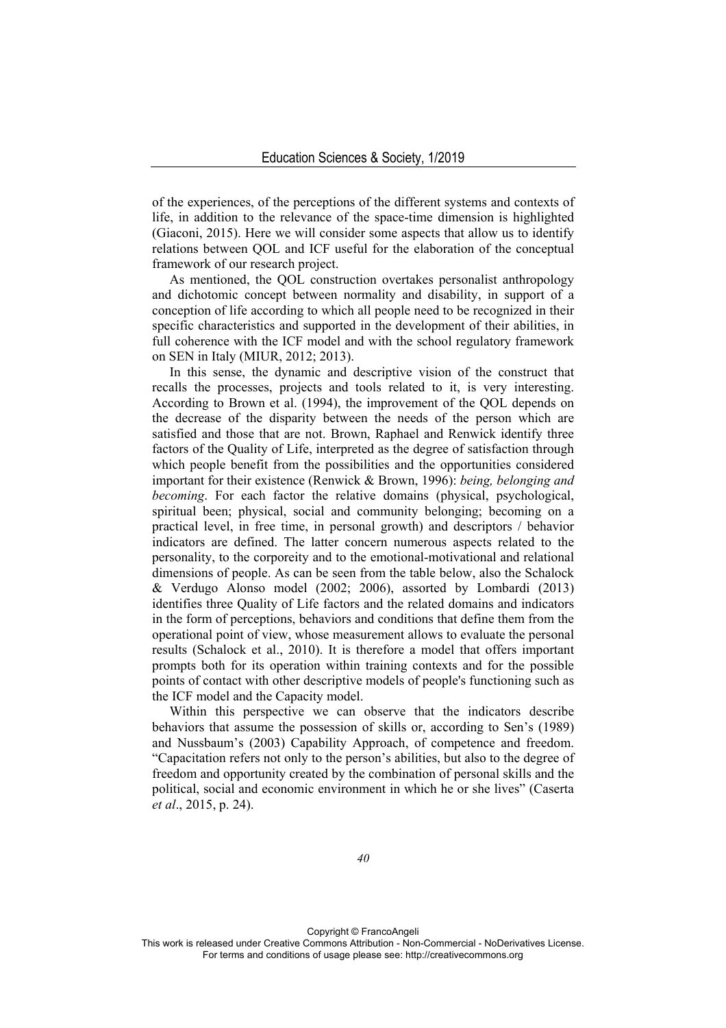of the experiences, of the perceptions of the different systems and contexts of life, in addition to the relevance of the space-time dimension is highlighted (Giaconi, 2015). Here we will consider some aspects that allow us to identify relations between QOL and ICF useful for the elaboration of the conceptual framework of our research project.

As mentioned, the QOL construction overtakes personalist anthropology and dichotomic concept between normality and disability, in support of a conception of life according to which all people need to be recognized in their specific characteristics and supported in the development of their abilities, in full coherence with the ICF model and with the school regulatory framework on SEN in Italy (MIUR, 2012; 2013).

In this sense, the dynamic and descriptive vision of the construct that recalls the processes, projects and tools related to it, is very interesting. According to Brown et al. (1994), the improvement of the QOL depends on the decrease of the disparity between the needs of the person which are satisfied and those that are not. Brown, Raphael and Renwick identify three factors of the Quality of Life, interpreted as the degree of satisfaction through which people benefit from the possibilities and the opportunities considered important for their existence (Renwick & Brown, 1996): *being, belonging and becoming*. For each factor the relative domains (physical, psychological, spiritual been; physical, social and community belonging; becoming on a practical level, in free time, in personal growth) and descriptors / behavior indicators are defined. The latter concern numerous aspects related to the personality, to the corporeity and to the emotional-motivational and relational dimensions of people. As can be seen from the table below, also the Schalock & Verdugo Alonso model (2002; 2006), assorted by Lombardi (2013) identifies three Quality of Life factors and the related domains and indicators in the form of perceptions, behaviors and conditions that define them from the operational point of view, whose measurement allows to evaluate the personal results (Schalock et al., 2010). It is therefore a model that offers important prompts both for its operation within training contexts and for the possible points of contact with other descriptive models of people's functioning such as the ICF model and the Capacity model.

Within this perspective we can observe that the indicators describe behaviors that assume the possession of skills or, according to Sen's (1989) and Nussbaum's (2003) Capability Approach, of competence and freedom. "Capacitation refers not only to the person's abilities, but also to the degree of freedom and opportunity created by the combination of personal skills and the political, social and economic environment in which he or she lives" (Caserta *et al*., 2015, p. 24).

Copyright © FrancoAngeli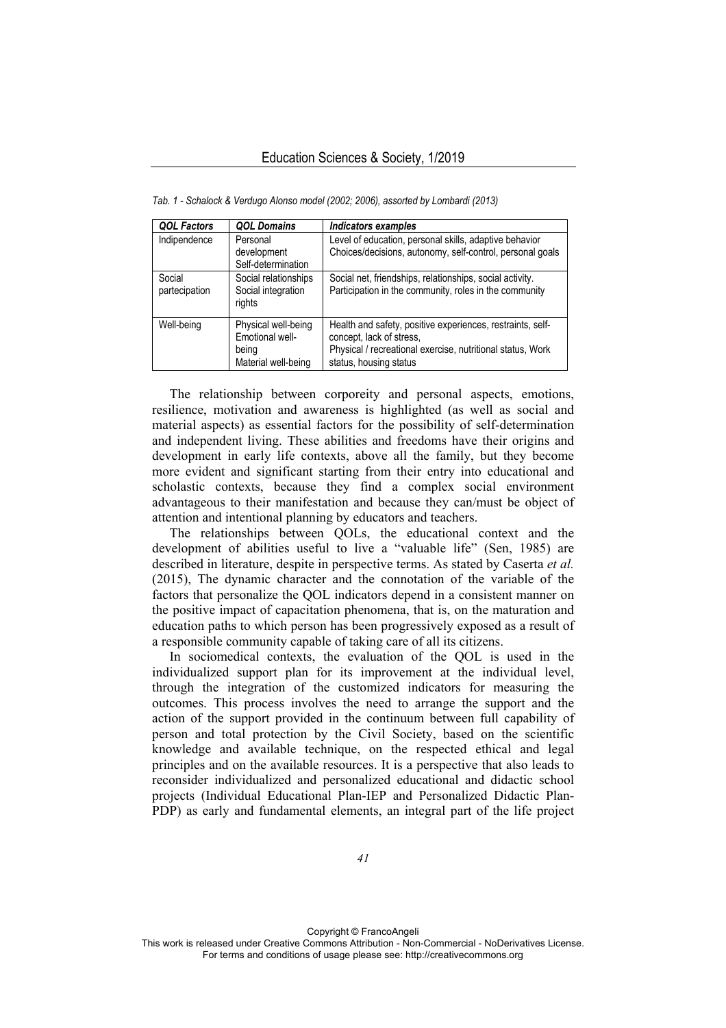| <b>QOL Factors</b>      | <b>QOL Domains</b>                                                     | Indicators examples                                                                                                                                                            |
|-------------------------|------------------------------------------------------------------------|--------------------------------------------------------------------------------------------------------------------------------------------------------------------------------|
| Indipendence            | Personal<br>development<br>Self-determination                          | Level of education, personal skills, adaptive behavior<br>Choices/decisions, autonomy, self-control, personal goals                                                            |
| Social<br>partecipation | Social relationships<br>Social integration<br>rights                   | Social net, friendships, relationships, social activity.<br>Participation in the community, roles in the community                                                             |
| Well-being              | Physical well-being<br>Emotional well-<br>being<br>Material well-being | Health and safety, positive experiences, restraints, self-<br>concept, lack of stress,<br>Physical / recreational exercise, nutritional status, Work<br>status, housing status |

*Tab. 1 - Schalock & Verdugo Alonso model (2002; 2006), assorted by Lombardi (2013)* 

The relationship between corporeity and personal aspects, emotions, resilience, motivation and awareness is highlighted (as well as social and material aspects) as essential factors for the possibility of self-determination and independent living. These abilities and freedoms have their origins and development in early life contexts, above all the family, but they become more evident and significant starting from their entry into educational and scholastic contexts, because they find a complex social environment advantageous to their manifestation and because they can/must be object of attention and intentional planning by educators and teachers.

The relationships between QOLs, the educational context and the development of abilities useful to live a "valuable life" (Sen, 1985) are described in literature, despite in perspective terms. As stated by Caserta *et al.* (2015), The dynamic character and the connotation of the variable of the factors that personalize the QOL indicators depend in a consistent manner on the positive impact of capacitation phenomena, that is, on the maturation and education paths to which person has been progressively exposed as a result of a responsible community capable of taking care of all its citizens.

In sociomedical contexts, the evaluation of the QOL is used in the individualized support plan for its improvement at the individual level, through the integration of the customized indicators for measuring the outcomes. This process involves the need to arrange the support and the action of the support provided in the continuum between full capability of person and total protection by the Civil Society, based on the scientific knowledge and available technique, on the respected ethical and legal principles and on the available resources. It is a perspective that also leads to reconsider individualized and personalized educational and didactic school projects (Individual Educational Plan-IEP and Personalized Didactic Plan-PDP) as early and fundamental elements, an integral part of the life project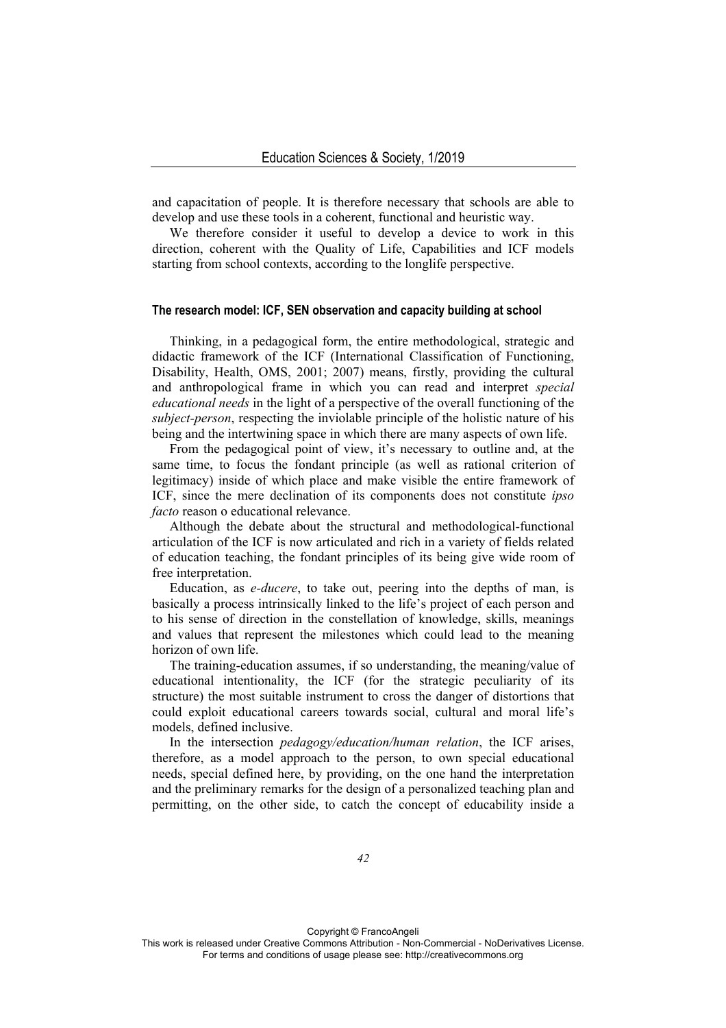and capacitation of people. It is therefore necessary that schools are able to develop and use these tools in a coherent, functional and heuristic way.

We therefore consider it useful to develop a device to work in this direction, coherent with the Quality of Life, Capabilities and ICF models starting from school contexts, according to the longlife perspective.

#### **The research model: ICF, SEN observation and capacity building at school**

Thinking, in a pedagogical form, the entire methodological, strategic and didactic framework of the ICF (International Classification of Functioning, Disability, Health, OMS, 2001; 2007) means, firstly, providing the cultural and anthropological frame in which you can read and interpret *special educational needs* in the light of a perspective of the overall functioning of the *subject-person*, respecting the inviolable principle of the holistic nature of his being and the intertwining space in which there are many aspects of own life.

From the pedagogical point of view, it's necessary to outline and, at the same time, to focus the fondant principle (as well as rational criterion of legitimacy) inside of which place and make visible the entire framework of ICF, since the mere declination of its components does not constitute *ipso facto* reason o educational relevance.

Although the debate about the structural and methodological-functional articulation of the ICF is now articulated and rich in a variety of fields related of education teaching, the fondant principles of its being give wide room of free interpretation.

Education, as *e-ducere*, to take out, peering into the depths of man, is basically a process intrinsically linked to the life's project of each person and to his sense of direction in the constellation of knowledge, skills, meanings and values that represent the milestones which could lead to the meaning horizon of own life.

The training-education assumes, if so understanding, the meaning/value of educational intentionality, the ICF (for the strategic peculiarity of its structure) the most suitable instrument to cross the danger of distortions that could exploit educational careers towards social, cultural and moral life's models, defined inclusive.

In the intersection *pedagogy/education/human relation*, the ICF arises, therefore, as a model approach to the person, to own special educational needs, special defined here, by providing, on the one hand the interpretation and the preliminary remarks for the design of a personalized teaching plan and permitting, on the other side, to catch the concept of educability inside a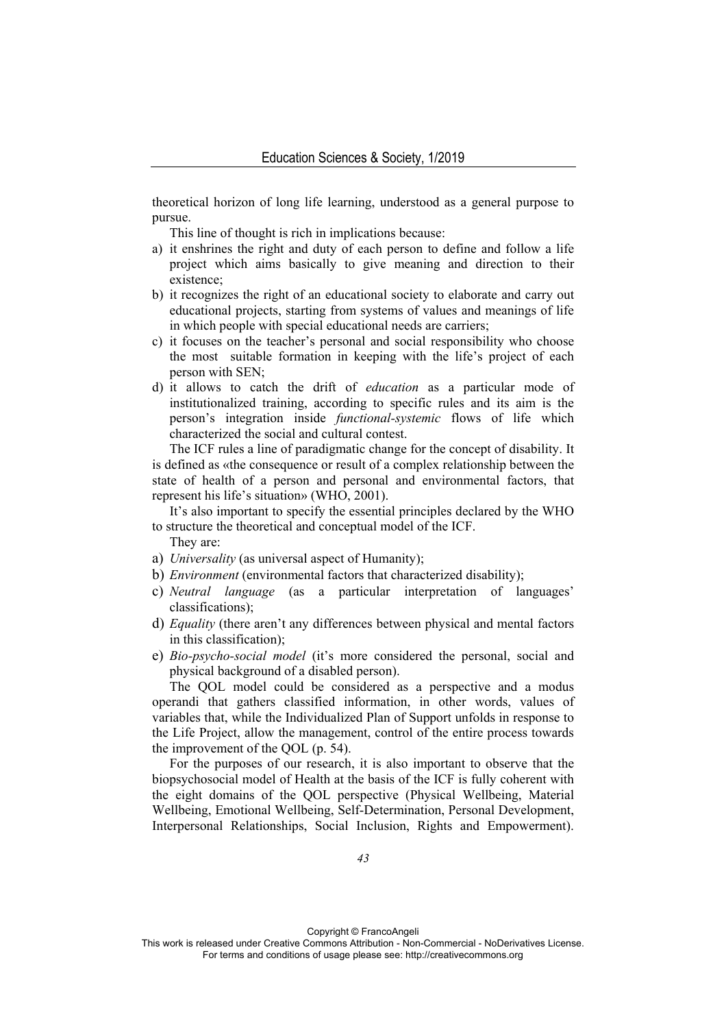theoretical horizon of long life learning, understood as a general purpose to pursue.

This line of thought is rich in implications because:

- a) it enshrines the right and duty of each person to define and follow a life project which aims basically to give meaning and direction to their existence;
- b) it recognizes the right of an educational society to elaborate and carry out educational projects, starting from systems of values and meanings of life in which people with special educational needs are carriers;
- c) it focuses on the teacher's personal and social responsibility who choose the most suitable formation in keeping with the life's project of each person with SEN;
- d) it allows to catch the drift of *education* as a particular mode of institutionalized training, according to specific rules and its aim is the person's integration inside *functional-systemic* flows of life which characterized the social and cultural contest.

The ICF rules a line of paradigmatic change for the concept of disability. It is defined as «the consequence or result of a complex relationship between the state of health of a person and personal and environmental factors, that represent his life's situation» (WHO, 2001).

It's also important to specify the essential principles declared by the WHO to structure the theoretical and conceptual model of the ICF.

They are:

- a) *Universality* (as universal aspect of Humanity);
- b) *Environment* (environmental factors that characterized disability);
- c) *Neutral language* (as a particular interpretation of languages' classifications);
- d) *Equality* (there aren't any differences between physical and mental factors in this classification);
- e) *Bio-psycho-social model* (it's more considered the personal, social and physical background of a disabled person).

The QOL model could be considered as a perspective and a modus operandi that gathers classified information, in other words, values of variables that, while the Individualized Plan of Support unfolds in response to the Life Project, allow the management, control of the entire process towards the improvement of the QOL (p. 54).

For the purposes of our research, it is also important to observe that the biopsychosocial model of Health at the basis of the ICF is fully coherent with the eight domains of the QOL perspective (Physical Wellbeing, Material Wellbeing, Emotional Wellbeing, Self-Determination, Personal Development, Interpersonal Relationships, Social Inclusion, Rights and Empowerment).

Copyright © FrancoAngeli

This work is released under Creative Commons Attribution - Non-Commercial - NoDerivatives License. For terms and conditions of usage please see: http://creativecommons.org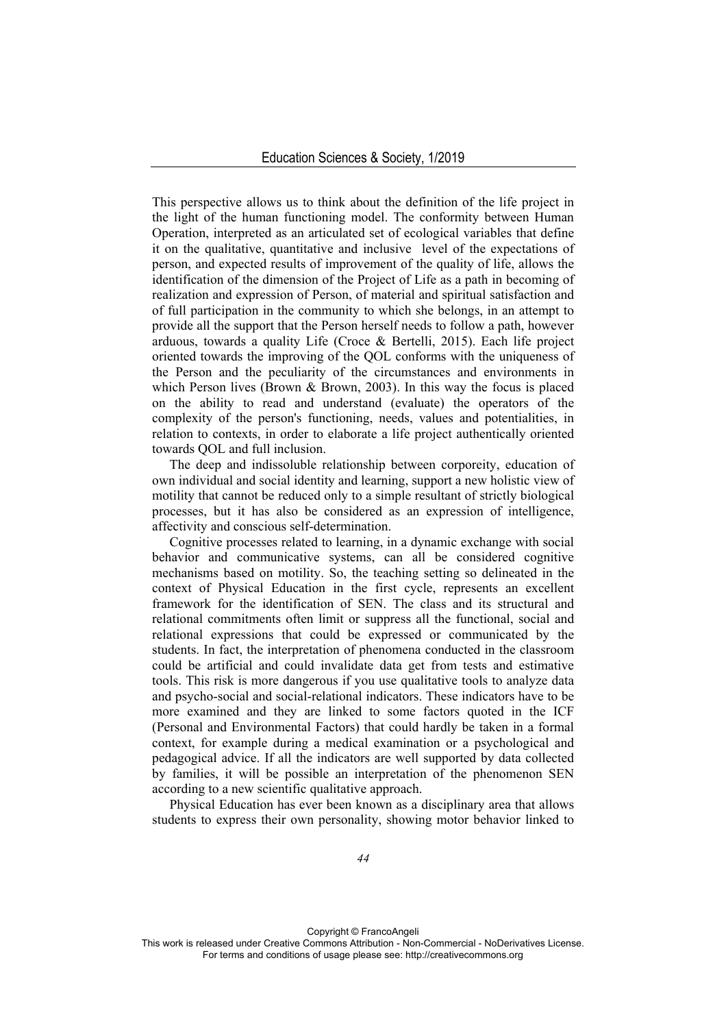This perspective allows us to think about the definition of the life project in the light of the human functioning model. The conformity between Human Operation, interpreted as an articulated set of ecological variables that define it on the qualitative, quantitative and inclusive level of the expectations of person, and expected results of improvement of the quality of life, allows the identification of the dimension of the Project of Life as a path in becoming of realization and expression of Person, of material and spiritual satisfaction and of full participation in the community to which she belongs, in an attempt to provide all the support that the Person herself needs to follow a path, however arduous, towards a quality Life (Croce & Bertelli, 2015). Each life project oriented towards the improving of the QOL conforms with the uniqueness of the Person and the peculiarity of the circumstances and environments in which Person lives (Brown & Brown, 2003). In this way the focus is placed on the ability to read and understand (evaluate) the operators of the complexity of the person's functioning, needs, values and potentialities, in relation to contexts, in order to elaborate a life project authentically oriented towards QOL and full inclusion.

The deep and indissoluble relationship between corporeity, education of own individual and social identity and learning, support a new holistic view of motility that cannot be reduced only to a simple resultant of strictly biological processes, but it has also be considered as an expression of intelligence, affectivity and conscious self-determination.

Cognitive processes related to learning, in a dynamic exchange with social behavior and communicative systems, can all be considered cognitive mechanisms based on motility. So, the teaching setting so delineated in the context of Physical Education in the first cycle, represents an excellent framework for the identification of SEN. The class and its structural and relational commitments often limit or suppress all the functional, social and relational expressions that could be expressed or communicated by the students. In fact, the interpretation of phenomena conducted in the classroom could be artificial and could invalidate data get from tests and estimative tools. This risk is more dangerous if you use qualitative tools to analyze data and psycho-social and social-relational indicators. These indicators have to be more examined and they are linked to some factors quoted in the ICF (Personal and Environmental Factors) that could hardly be taken in a formal context, for example during a medical examination or a psychological and pedagogical advice. If all the indicators are well supported by data collected by families, it will be possible an interpretation of the phenomenon SEN according to a new scientific qualitative approach.

Physical Education has ever been known as a disciplinary area that allows students to express their own personality, showing motor behavior linked to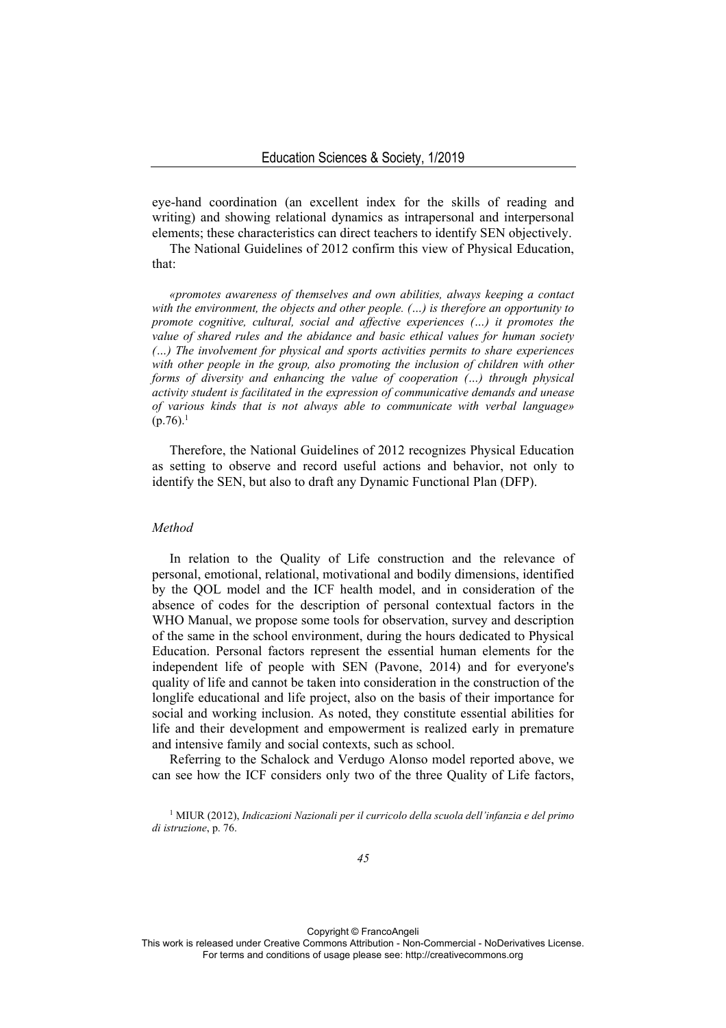eye-hand coordination (an excellent index for the skills of reading and writing) and showing relational dynamics as intrapersonal and interpersonal elements; these characteristics can direct teachers to identify SEN objectively.

The National Guidelines of 2012 confirm this view of Physical Education, that:

*«promotes awareness of themselves and own abilities, always keeping a contact with the environment, the objects and other people. (…) is therefore an opportunity to promote cognitive, cultural, social and affective experiences (…) it promotes the value of shared rules and the abidance and basic ethical values for human society (…) The involvement for physical and sports activities permits to share experiences*  with other people in the group, also promoting the inclusion of children with other *forms of diversity and enhancing the value of cooperation (…) through physical activity student is facilitated in the expression of communicative demands and unease of various kinds that is not always able to communicate with verbal language»*   $(p.76)^{1}$ 

Therefore, the National Guidelines of 2012 recognizes Physical Education as setting to observe and record useful actions and behavior, not only to identify the SEN, but also to draft any Dynamic Functional Plan (DFP).

## *Method*

In relation to the Quality of Life construction and the relevance of personal, emotional, relational, motivational and bodily dimensions, identified by the QOL model and the ICF health model, and in consideration of the absence of codes for the description of personal contextual factors in the WHO Manual, we propose some tools for observation, survey and description of the same in the school environment, during the hours dedicated to Physical Education. Personal factors represent the essential human elements for the independent life of people with SEN (Pavone, 2014) and for everyone's quality of life and cannot be taken into consideration in the construction of the longlife educational and life project, also on the basis of their importance for social and working inclusion. As noted, they constitute essential abilities for life and their development and empowerment is realized early in premature and intensive family and social contexts, such as school.

Referring to the Schalock and Verdugo Alonso model reported above, we can see how the ICF considers only two of the three Quality of Life factors,

1 MIUR (2012), *Indicazioni Nazionali per il curricolo della scuola dell'infanzia e del primo di istruzione*, p. 76.

Copyright © FrancoAngeli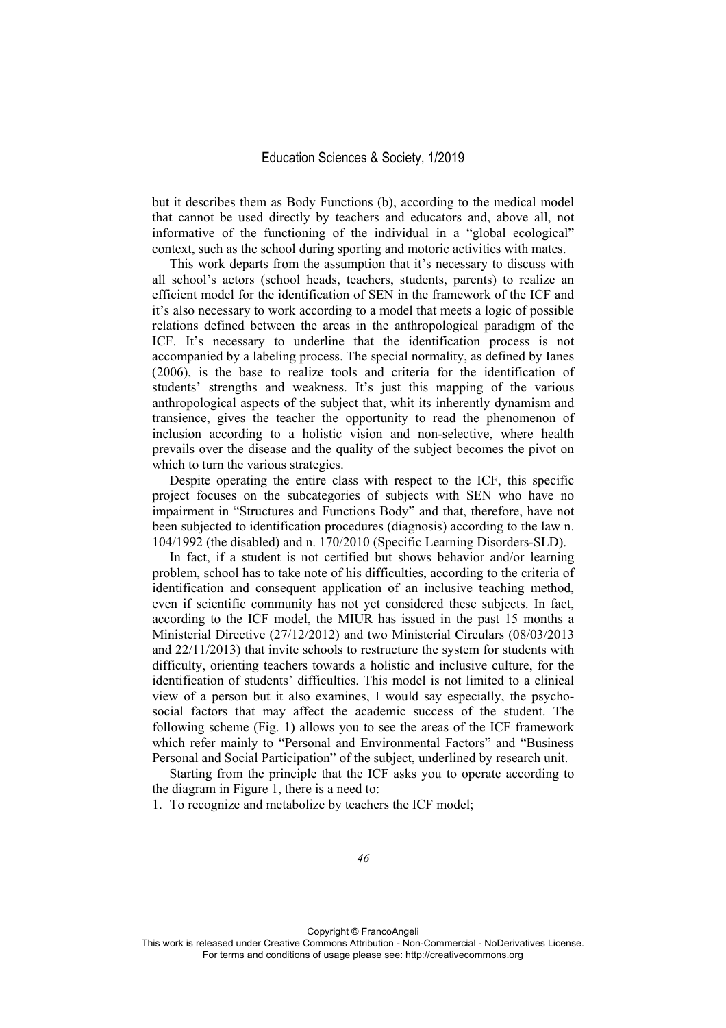but it describes them as Body Functions (b), according to the medical model that cannot be used directly by teachers and educators and, above all, not informative of the functioning of the individual in a "global ecological" context, such as the school during sporting and motoric activities with mates.

This work departs from the assumption that it's necessary to discuss with all school's actors (school heads, teachers, students, parents) to realize an efficient model for the identification of SEN in the framework of the ICF and it's also necessary to work according to a model that meets a logic of possible relations defined between the areas in the anthropological paradigm of the ICF. It's necessary to underline that the identification process is not accompanied by a labeling process. The special normality, as defined by Ianes (2006), is the base to realize tools and criteria for the identification of students' strengths and weakness. It's just this mapping of the various anthropological aspects of the subject that, whit its inherently dynamism and transience, gives the teacher the opportunity to read the phenomenon of inclusion according to a holistic vision and non-selective, where health prevails over the disease and the quality of the subject becomes the pivot on which to turn the various strategies.

Despite operating the entire class with respect to the ICF, this specific project focuses on the subcategories of subjects with SEN who have no impairment in "Structures and Functions Body" and that, therefore, have not been subjected to identification procedures (diagnosis) according to the law n. 104/1992 (the disabled) and n. 170/2010 (Specific Learning Disorders-SLD).

In fact, if a student is not certified but shows behavior and/or learning problem, school has to take note of his difficulties, according to the criteria of identification and consequent application of an inclusive teaching method, even if scientific community has not yet considered these subjects. In fact, according to the ICF model, the MIUR has issued in the past 15 months a Ministerial Directive (27/12/2012) and two Ministerial Circulars (08/03/2013 and 22/11/2013) that invite schools to restructure the system for students with difficulty, orienting teachers towards a holistic and inclusive culture, for the identification of students' difficulties. This model is not limited to a clinical view of a person but it also examines, I would say especially, the psychosocial factors that may affect the academic success of the student. The following scheme (Fig. 1) allows you to see the areas of the ICF framework which refer mainly to "Personal and Environmental Factors" and "Business" Personal and Social Participation" of the subject, underlined by research unit.

Starting from the principle that the ICF asks you to operate according to the diagram in Figure 1, there is a need to:

1. To recognize and metabolize by teachers the ICF model;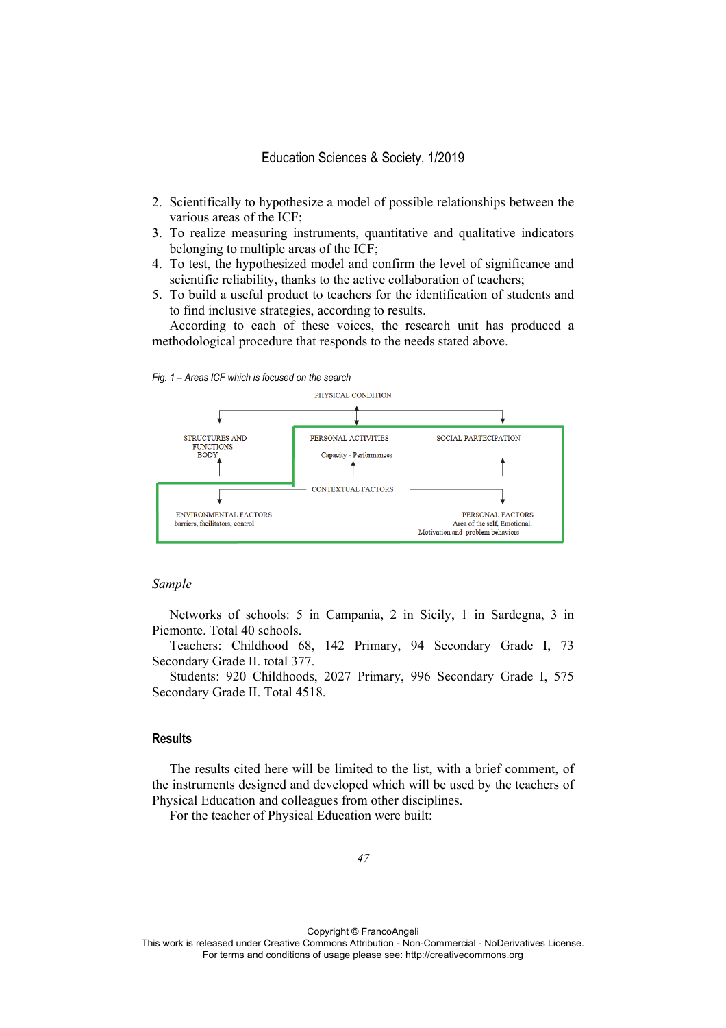- 2. Scientifically to hypothesize a model of possible relationships between the various areas of the ICF;
- 3. To realize measuring instruments, quantitative and qualitative indicators belonging to multiple areas of the ICF;
- 4. To test, the hypothesized model and confirm the level of significance and scientific reliability, thanks to the active collaboration of teachers;
- 5. To build a useful product to teachers for the identification of students and to find inclusive strategies, according to results.

According to each of these voices, the research unit has produced a methodological procedure that responds to the needs stated above.





## *Sample*

Networks of schools: 5 in Campania, 2 in Sicily, 1 in Sardegna, 3 in Piemonte. Total 40 schools.

Teachers: Childhood 68, 142 Primary, 94 Secondary Grade I, 73 Secondary Grade II. total 377.

Students: 920 Childhoods, 2027 Primary, 996 Secondary Grade I, 575 Secondary Grade II. Total 4518.

#### **Results**

The results cited here will be limited to the list, with a brief comment, of the instruments designed and developed which will be used by the teachers of Physical Education and colleagues from other disciplines.

For the teacher of Physical Education were built: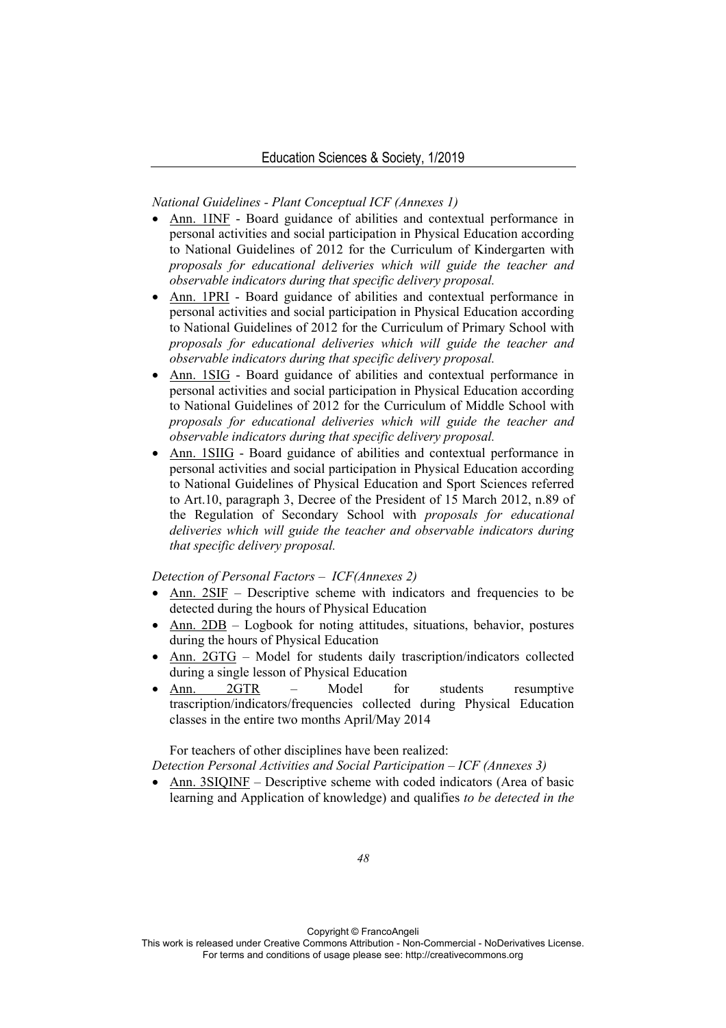*National Guidelines - Plant Conceptual ICF (Annexes 1)* 

- Ann. 1INF Board guidance of abilities and contextual performance in personal activities and social participation in Physical Education according to National Guidelines of 2012 for the Curriculum of Kindergarten with *proposals for educational deliveries which will guide the teacher and observable indicators during that specific delivery proposal.*
- Ann. 1PRI Board guidance of abilities and contextual performance in personal activities and social participation in Physical Education according to National Guidelines of 2012 for the Curriculum of Primary School with *proposals for educational deliveries which will guide the teacher and observable indicators during that specific delivery proposal.*
- Ann. 1SIG Board guidance of abilities and contextual performance in personal activities and social participation in Physical Education according to National Guidelines of 2012 for the Curriculum of Middle School with *proposals for educational deliveries which will guide the teacher and observable indicators during that specific delivery proposal.*
- Ann. 1SIIG Board guidance of abilities and contextual performance in personal activities and social participation in Physical Education according to National Guidelines of Physical Education and Sport Sciences referred to Art.10, paragraph 3, Decree of the President of 15 March 2012, n.89 of the Regulation of Secondary School with *proposals for educational deliveries which will guide the teacher and observable indicators during that specific delivery proposal.*

*Detection of Personal Factors – ICF(Annexes 2)* 

- Ann. 2SIF Descriptive scheme with indicators and frequencies to be detected during the hours of Physical Education
- Ann. 2DB Logbook for noting attitudes, situations, behavior, postures during the hours of Physical Education
- Ann. 2GTG Model for students daily trascription/indicators collected during a single lesson of Physical Education
- Ann. 2GTR Model for students resumptive trascription/indicators/frequencies collected during Physical Education classes in the entire two months April/May 2014

For teachers of other disciplines have been realized:

*Detection Personal Activities and Social Participation – ICF (Annexes 3)* 

 Ann. 3SIQINF – Descriptive scheme with coded indicators (Area of basic learning and Application of knowledge) and qualifies *to be detected in the* 

Copyright © FrancoAngeli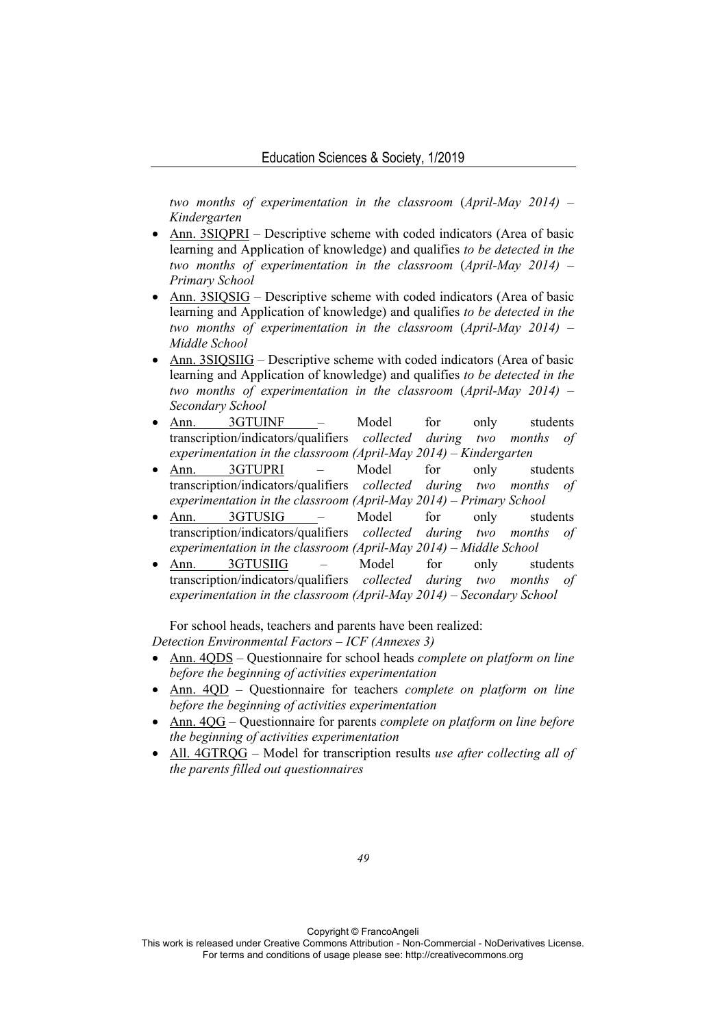*two months of experimentation in the classroom* (*April-May 2014) – Kindergarten* 

- Ann. 3SIQPRI Descriptive scheme with coded indicators (Area of basic learning and Application of knowledge) and qualifies *to be detected in the two months of experimentation in the classroom* (*April-May 2014) – Primary School*
- Ann. 3SIQSIG Descriptive scheme with coded indicators (Area of basic learning and Application of knowledge) and qualifies *to be detected in the two months of experimentation in the classroom* (*April-May 2014) – Middle School*
- Ann. 3SIQSIIG Descriptive scheme with coded indicators (Area of basic learning and Application of knowledge) and qualifies *to be detected in the two months of experimentation in the classroom* (*April-May 2014) – Secondary School*
- Ann. 3GTUINF Model for only students transcription/indicators/qualifiers *collected during two months experimentation in the classroom (April-May 2014) – Kindergarten*
- Ann. 3GTUPRI Model for only students transcription/indicators/qualifiers *collected during two months of experimentation in the classroom (April-May 2014) – Primary School*
- Ann. 3GTUSIG Model for only students transcription/indicators/qualifiers *collected during two months of experimentation in the classroom (April-May 2014) – Middle School*
- Ann. 3GTUSIIG Model for only students transcription/indicators/qualifiers *collected during two months of experimentation in the classroom (April-May 2014) – Secondary School*

For school heads, teachers and parents have been realized: *Detection Environmental Factors – ICF (Annexes 3)* 

- Ann. 4QDS Questionnaire for school heads *complete on platform on line before the beginning of activities experimentation*
- Ann. 4QD Questionnaire for teachers *complete on platform on line before the beginning of activities experimentation*
- Ann. 4QG Questionnaire for parents *complete on platform on line before the beginning of activities experimentation*
- All. 4GTRQG Model for transcription results *use after collecting all of the parents filled out questionnaires*

Copyright © FrancoAngeli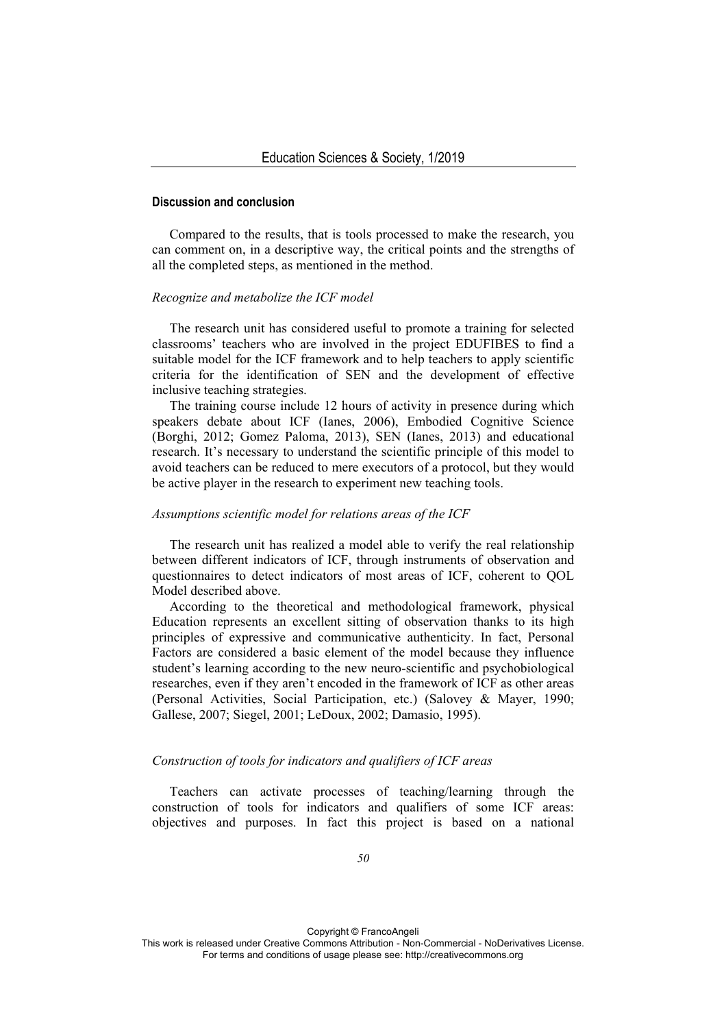#### **Discussion and conclusion**

Compared to the results, that is tools processed to make the research, you can comment on, in a descriptive way, the critical points and the strengths of all the completed steps, as mentioned in the method.

#### *Recognize and metabolize the ICF model*

The research unit has considered useful to promote a training for selected classrooms' teachers who are involved in the project EDUFIBES to find a suitable model for the ICF framework and to help teachers to apply scientific criteria for the identification of SEN and the development of effective inclusive teaching strategies.

The training course include 12 hours of activity in presence during which speakers debate about ICF (Ianes, 2006), Embodied Cognitive Science (Borghi, 2012; Gomez Paloma, 2013), SEN (Ianes, 2013) and educational research. It's necessary to understand the scientific principle of this model to avoid teachers can be reduced to mere executors of a protocol, but they would be active player in the research to experiment new teaching tools.

### *Assumptions scientific model for relations areas of the ICF*

The research unit has realized a model able to verify the real relationship between different indicators of ICF, through instruments of observation and questionnaires to detect indicators of most areas of ICF, coherent to QOL Model described above.

According to the theoretical and methodological framework, physical Education represents an excellent sitting of observation thanks to its high principles of expressive and communicative authenticity. In fact, Personal Factors are considered a basic element of the model because they influence student's learning according to the new neuro-scientific and psychobiological researches, even if they aren't encoded in the framework of ICF as other areas (Personal Activities, Social Participation, etc.) (Salovey & Mayer, 1990; Gallese, 2007; Siegel, 2001; LeDoux, 2002; Damasio, 1995).

## *Construction of tools for indicators and qualifiers of ICF areas*

Teachers can activate processes of teaching/learning through the construction of tools for indicators and qualifiers of some ICF areas: objectives and purposes. In fact this project is based on a national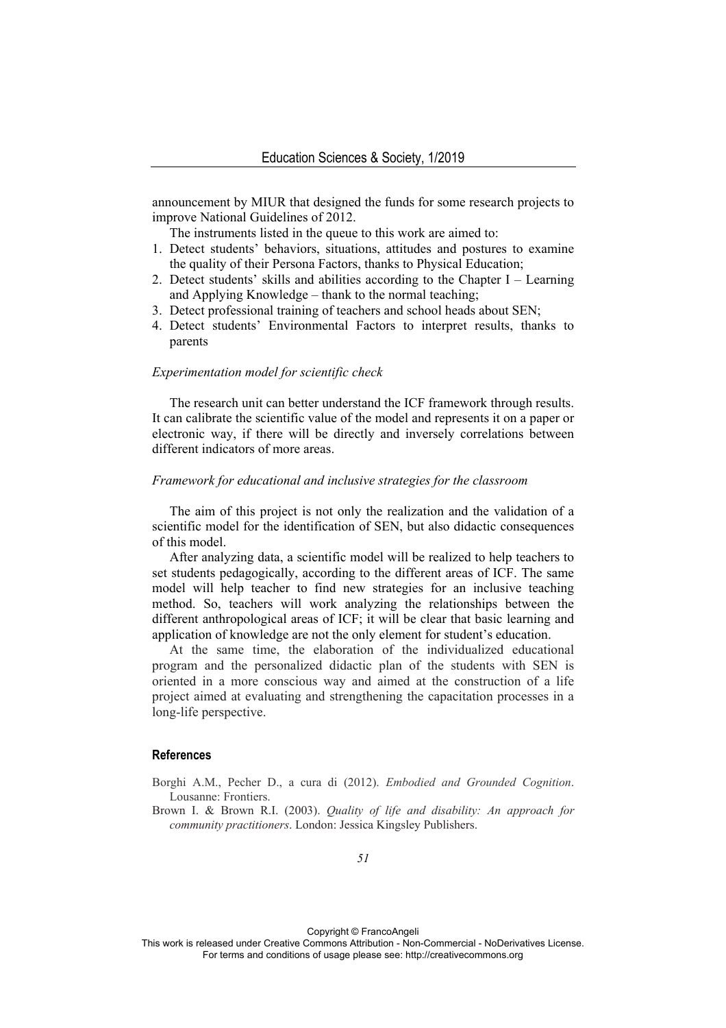announcement by MIUR that designed the funds for some research projects to improve National Guidelines of 2012.

The instruments listed in the queue to this work are aimed to:

- 1. Detect students' behaviors, situations, attitudes and postures to examine the quality of their Persona Factors, thanks to Physical Education;
- 2. Detect students' skills and abilities according to the Chapter I Learning and Applying Knowledge – thank to the normal teaching;
- 3. Detect professional training of teachers and school heads about SEN;
- 4. Detect students' Environmental Factors to interpret results, thanks to parents

#### *Experimentation model for scientific check*

The research unit can better understand the ICF framework through results. It can calibrate the scientific value of the model and represents it on a paper or electronic way, if there will be directly and inversely correlations between different indicators of more areas.

# *Framework for educational and inclusive strategies for the classroom*

The aim of this project is not only the realization and the validation of a scientific model for the identification of SEN, but also didactic consequences of this model.

After analyzing data, a scientific model will be realized to help teachers to set students pedagogically, according to the different areas of ICF. The same model will help teacher to find new strategies for an inclusive teaching method. So, teachers will work analyzing the relationships between the different anthropological areas of ICF; it will be clear that basic learning and application of knowledge are not the only element for student's education.

At the same time, the elaboration of the individualized educational program and the personalized didactic plan of the students with SEN is oriented in a more conscious way and aimed at the construction of a life project aimed at evaluating and strengthening the capacitation processes in a long-life perspective.

# **References**

- Borghi A.M., Pecher D., a cura di (2012). *Embodied and Grounded Cognition*. Lousanne: Frontiers.
- Brown I. & Brown R.I. (2003). *Quality of life and disability: An approach for community practitioners*. London: Jessica Kingsley Publishers.

Copyright © FrancoAngeli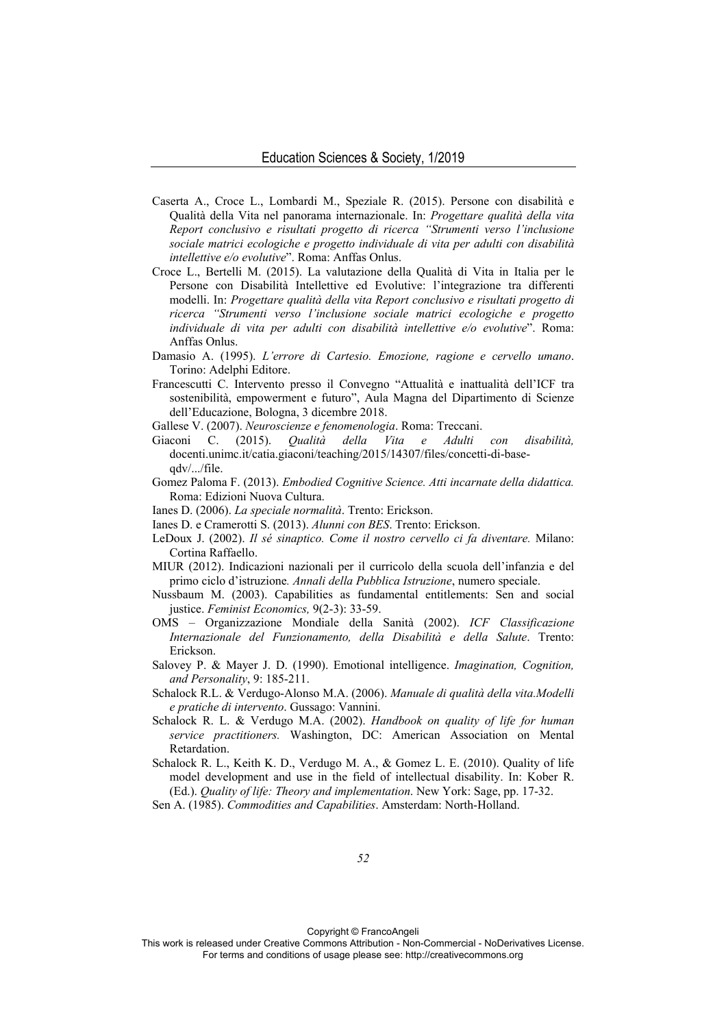- Caserta A., Croce L., Lombardi M., Speziale R. (2015). Persone con disabilità e Qualità della Vita nel panorama internazionale. In: *Progettare qualità della vita Report conclusivo e risultati progetto di ricerca "Strumenti verso l'inclusione sociale matrici ecologiche e progetto individuale di vita per adulti con disabilità intellettive e/o evolutive*". Roma: Anffas Onlus.
- Croce L., Bertelli M. (2015). La valutazione della Qualità di Vita in Italia per le Persone con Disabilità Intellettive ed Evolutive: l'integrazione tra differenti modelli. In: *Progettare qualità della vita Report conclusivo e risultati progetto di ricerca "Strumenti verso l'inclusione sociale matrici ecologiche e progetto individuale di vita per adulti con disabilità intellettive e/o evolutive*". Roma: Anffas Onlus.
- Damasio A. (1995). *L'errore di Cartesio. Emozione, ragione e cervello umano*. Torino: Adelphi Editore.
- Francescutti C. Intervento presso il Convegno "Attualità e inattualità dell'ICF tra sostenibilità, empowerment e futuro", Aula Magna del Dipartimento di Scienze dell'Educazione, Bologna, 3 dicembre 2018.
- Gallese V. (2007). *Neuroscienze e fenomenologia*. Roma: Treccani.
- Giaconi C. (2015). *Qualità della Vita e Adulti con disabilità,*  docenti.unimc.it/catia.giaconi/teaching/2015/14307/files/concetti-di-baseqdv/.../file.
- Gomez Paloma F. (2013). *Embodied Cognitive Science. Atti incarnate della didattica.*  Roma: Edizioni Nuova Cultura.
- Ianes D. (2006). *La speciale normalità*. Trento: Erickson.
- Ianes D. e Cramerotti S. (2013). *Alunni con BES*. Trento: Erickson.
- LeDoux J. (2002). *Il sé sinaptico. Come il nostro cervello ci fa diventare.* Milano: Cortina Raffaello.
- MIUR (2012). Indicazioni nazionali per il curricolo della scuola dell'infanzia e del primo ciclo d'istruzione*. Annali della Pubblica Istruzione*, numero speciale.
- Nussbaum M. (2003). Capabilities as fundamental entitlements: Sen and social justice. *Feminist Economics,* 9(2-3): 33-59.
- OMS Organizzazione Mondiale della Sanità (2002). *ICF Classificazione Internazionale del Funzionamento, della Disabilità e della Salute*. Trento: Erickson.
- Salovey P. & Mayer J. D. (1990). Emotional intelligence. *Imagination, Cognition, and Personality*, 9: 185-211.
- Schalock R.L. & Verdugo-Alonso M.A. (2006). *Manuale di qualità della vita.Modelli e pratiche di intervento*. Gussago: Vannini.
- Schalock R. L. & Verdugo M.A. (2002). *Handbook on quality of life for human service practitioners.* Washington, DC: American Association on Mental Retardation.
- Schalock R. L., Keith K. D., Verdugo M. A., & Gomez L. E. (2010). Quality of life model development and use in the field of intellectual disability. In: Kober R. (Ed.). *Quality of life: Theory and implementation*. New York: Sage, pp. 17-32.

Sen A. (1985). *Commodities and Capabilities*. Amsterdam: North-Holland.

Copyright © FrancoAngeli

This work is released under Creative Commons Attribution - Non-Commercial - NoDerivatives License. For terms and conditions of usage please see: http://creativecommons.org